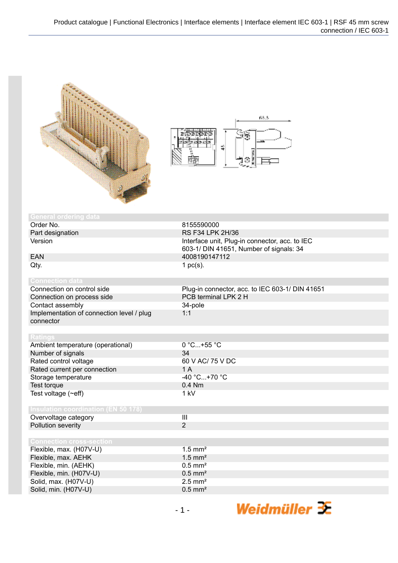



| <b>General ordering data</b>               |                                                 |
|--------------------------------------------|-------------------------------------------------|
| Order No.                                  | 8155590000                                      |
| Part designation                           | RS F34 LPK 2H/36                                |
| Version                                    | Interface unit, Plug-in connector, acc. to IEC  |
|                                            | 603-1/ DIN 41651, Number of signals: 34         |
| <b>EAN</b>                                 | 4008190147112                                   |
| Qty.                                       | 1 $pc(s)$ .                                     |
|                                            |                                                 |
| <b>Connection data</b>                     |                                                 |
| Connection on control side                 | Plug-in connector, acc. to IEC 603-1/ DIN 41651 |
| Connection on process side                 | PCB terminal LPK 2 H                            |
| Contact assembly                           | 34-pole                                         |
| Implementation of connection level / plug  | 1:1                                             |
| connector                                  |                                                 |
|                                            |                                                 |
| <b>Ratings</b>                             |                                                 |
| Ambient temperature (operational)          | 0 °C+55 °C                                      |
| Number of signals                          | 34                                              |
| Rated control voltage                      | 60 V AC/ 75 V DC                                |
| Rated current per connection               | 1A                                              |
| Storage temperature                        | -40 °C+70 °C                                    |
| Test torque                                | 0.4 Nm                                          |
| Test voltage $(\sim eff)$                  | 1 kV                                            |
|                                            |                                                 |
| <b>Insulation coordination (EN 50 178)</b> |                                                 |
| Overvoltage category                       | $\overline{\mathbf{III}}$                       |
| Pollution severity                         | $\overline{2}$                                  |
|                                            |                                                 |
| <b>Connection cross-section</b>            |                                                 |
| Flexible, max. (H07V-U)                    | $1.5$ mm <sup>2</sup>                           |
| Flexible, max. AEHK                        | $1.5$ mm <sup>2</sup>                           |
| Flexible, min. (AEHK)                      | $0.5$ mm <sup>2</sup>                           |
| Flexible, min. (H07V-U)                    | $0.5$ mm <sup>2</sup>                           |
| Solid, max. (H07V-U)                       | $2.5$ mm <sup>2</sup>                           |
| Solid, min. (H07V-U)                       | $0.5$ mm <sup>2</sup>                           |

Weidmüller <